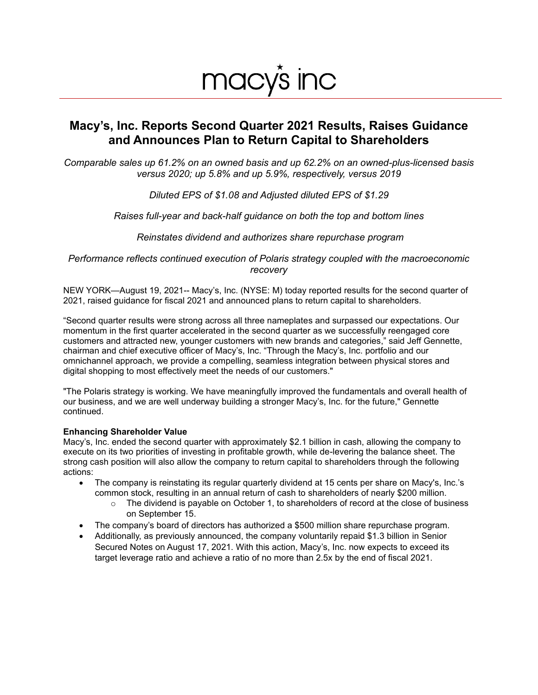# macy's inc

# **Macy's, Inc. Reports Second Quarter 2021 Results, Raises Guidance and Announces Plan to Return Capital to Shareholders**

*Comparable sales up 61.2% on an owned basis and up 62.2% on an owned-plus-licensed basis versus 2020; up 5.8% and up 5.9%, respectively, versus 2019*

*Diluted EPS of \$1.08 and Adjusted diluted EPS of \$1.29*

*Raises full-year and back-half guidance on both the top and bottom lines*

*Reinstates dividend and authorizes share repurchase program*

*Performance reflects continued execution of Polaris strategy coupled with the macroeconomic recovery*

NEW YORK—August 19, 2021-- Macy's, Inc. (NYSE: M) today reported results for the second quarter of 2021, raised guidance for fiscal 2021 and announced plans to return capital to shareholders.

"Second quarter results were strong across all three nameplates and surpassed our expectations. Our momentum in the first quarter accelerated in the second quarter as we successfully reengaged core customers and attracted new, younger customers with new brands and categories," said Jeff Gennette, chairman and chief executive officer of Macy's, Inc. "Through the Macy's, Inc. portfolio and our omnichannel approach, we provide a compelling, seamless integration between physical stores and digital shopping to most effectively meet the needs of our customers."

"The Polaris strategy is working. We have meaningfully improved the fundamentals and overall health of our business, and we are well underway building a stronger Macy's, Inc. for the future," Gennette continued.

#### **Enhancing Shareholder Value**

Macy's, Inc. ended the second quarter with approximately \$2.1 billion in cash, allowing the company to execute on its two priorities of investing in profitable growth, while de-levering the balance sheet. The strong cash position will also allow the company to return capital to shareholders through the following actions:

- The company is reinstating its regular quarterly dividend at 15 cents per share on Macy's, Inc.'s common stock, resulting in an annual return of cash to shareholders of nearly \$200 million.
	- $\circ$  The dividend is payable on October 1, to shareholders of record at the close of business on September 15.
- The company's board of directors has authorized a \$500 million share repurchase program.
- Additionally, as previously announced, the company voluntarily repaid \$1.3 billion in Senior Secured Notes on August 17, 2021. With this action, Macy's, Inc. now expects to exceed its target leverage ratio and achieve a ratio of no more than 2.5x by the end of fiscal 2021.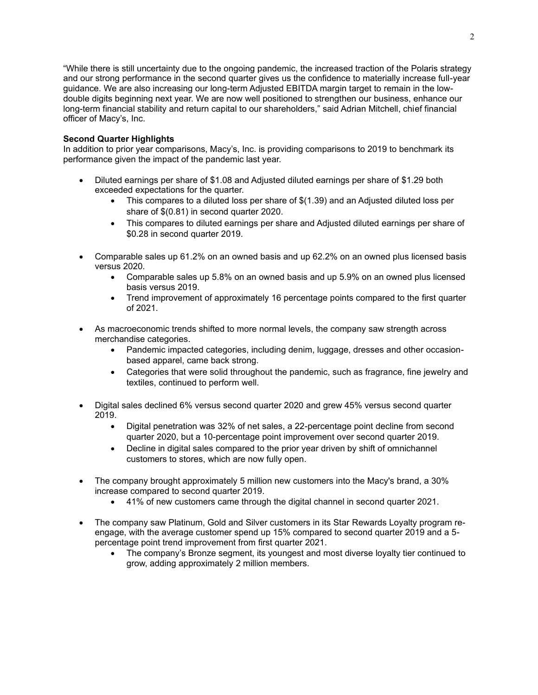"While there is still uncertainty due to the ongoing pandemic, the increased traction of the Polaris strategy and our strong performance in the second quarter gives us the confidence to materially increase full-year guidance. We are also increasing our long-term Adjusted EBITDA margin target to remain in the lowdouble digits beginning next year. We are now well positioned to strengthen our business, enhance our long-term financial stability and return capital to our shareholders," said Adrian Mitchell, chief financial officer of Macy's, Inc.

#### **Second Quarter Highlights**

In addition to prior year comparisons, Macy's, Inc. is providing comparisons to 2019 to benchmark its performance given the impact of the pandemic last year.

- Diluted earnings per share of \$1.08 and Adjusted diluted earnings per share of \$1.29 both exceeded expectations for the quarter.
	- This compares to a diluted loss per share of \$(1.39) and an Adjusted diluted loss per share of \$(0.81) in second quarter 2020.
	- This compares to diluted earnings per share and Adjusted diluted earnings per share of \$0.28 in second quarter 2019.
- Comparable sales up 61.2% on an owned basis and up 62.2% on an owned plus licensed basis versus 2020.
	- Comparable sales up 5.8% on an owned basis and up 5.9% on an owned plus licensed basis versus 2019.
	- Trend improvement of approximately 16 percentage points compared to the first quarter of 2021.
- As macroeconomic trends shifted to more normal levels, the company saw strength across merchandise categories.
	- Pandemic impacted categories, including denim, luggage, dresses and other occasionbased apparel, came back strong.
	- Categories that were solid throughout the pandemic, such as fragrance, fine jewelry and textiles, continued to perform well.
- Digital sales declined 6% versus second quarter 2020 and grew 45% versus second quarter 2019.
	- Digital penetration was 32% of net sales, a 22-percentage point decline from second quarter 2020, but a 10-percentage point improvement over second quarter 2019.
	- Decline in digital sales compared to the prior year driven by shift of omnichannel customers to stores, which are now fully open.
- The company brought approximately 5 million new customers into the Macy's brand, a 30% increase compared to second quarter 2019.
	- 41% of new customers came through the digital channel in second quarter 2021.
- The company saw Platinum, Gold and Silver customers in its Star Rewards Loyalty program reengage, with the average customer spend up 15% compared to second quarter 2019 and a 5 percentage point trend improvement from first quarter 2021.
	- The company's Bronze segment, its youngest and most diverse loyalty tier continued to grow, adding approximately 2 million members.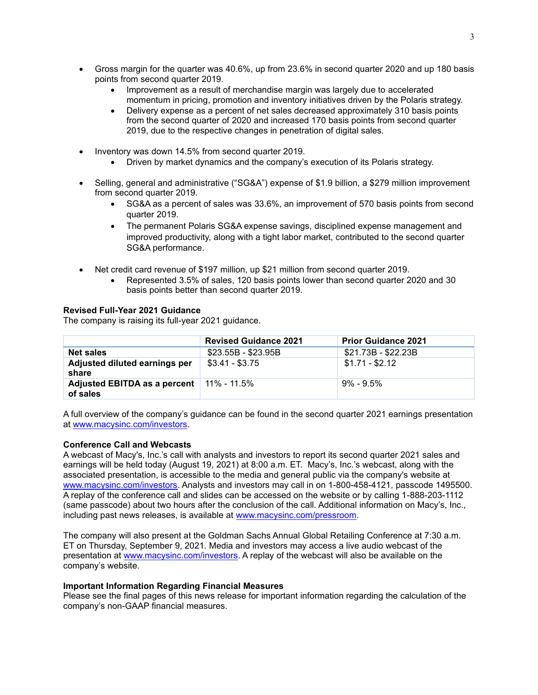- Gross margin for the quarter was 40.6%, up from 23.6% in second quarter 2020 and up 180 basis points from second quarter 2019.
	- Improvement as a result of merchandise margin was largely due to accelerated momentum in pricing, promotion and inventory initiatives driven by the Polaris strategy.
	- Delivery expense as a percent of net sales decreased approximately 310 basis points from the second quarter of 2020 and increased 170 basis points from second quarter 2019, due to the respective changes in penetration of digital sales.
- Inventory was down 14.5% from second quarter 2019.
	- Driven by market dynamics and the company's execution of its Polaris strategy.
- Selling, general and administrative ("SG&A") expense of \$1.9 billion, a \$279 million improvement from second quarter 2019.
	- SG&A as a percent of sales was 33.6%, an improvement of 570 basis points from second quarter 2019.
	- The permanent Polaris SG&A expense savings, disciplined expense management and improved productivity, along with a tight labor market, contributed to the second quarter SG&A performance.
- Net credit card revenue of \$197 million, up \$21 million from second quarter 2019.
	- Represented 3.5% of sales, 120 basis points lower than second quarter 2020 and 30 basis points better than second quarter 2019.

#### **Revised Full-Year 2021 Guidance**

The company is raising its full-year 2021 guidance.

|                                                        | <b>Revised Guidance 2021</b> | <b>Prior Guidance 2021</b> |
|--------------------------------------------------------|------------------------------|----------------------------|
| <b>Net sales</b>                                       | $$23.55B - $23.95B$          | \$21.73B - \$22.23B        |
| Adjusted diluted earnings per<br>share                 | $$3.41 - $3.75$              | $$1.71 - $2.12$            |
| Adjusted EBITDA as a percent   11% - 11.5%<br>of sales |                              | $9\% - 9.5\%$              |

A full overview of the company's guidance can be found in the second quarter 2021 earnings presentation at www.macysinc.com/investors.

#### **Conference Call and Webcasts**

A webcast of Macy's, Inc.'s call with analysts and investors to report its second quarter 2021 sales and earnings will be held today (August 19, 2021) at 8:00 a.m. ET. Macy's, Inc.'s webcast, along with the associated presentation, is accessible to the media and general public via the company's website at www.macysinc.com/investors. Analysts and investors may call in on 1-800-458-4121, passcode 1495500. A replay of the conference call and slides can be accessed on the website or by calling 1-888-203-1112 (same passcode) about two hours after the conclusion of the call. Additional information on Macy's, Inc., including past news releases, is available at www.macysinc.com/pressroom.

The company will also present at the Goldman Sachs Annual Global Retailing Conference at 7:30 a.m. ET on Thursday, September 9, 2021. Media and investors may access a live audio webcast of the presentation at [www.macysinc.com/investors.](http://www.macysinc.com/investors) A replay of the webcast will also be available on the company's website.

#### **Important Information Regarding Financial Measures**

Please see the final pages of this news release for important information regarding the calculation of the company's non-GAAP financial measures.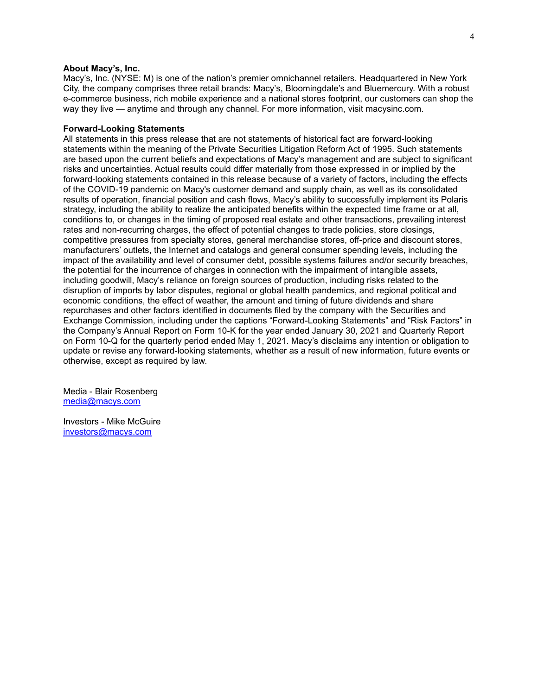#### **About Macy's, Inc.**

Macy's, Inc. (NYSE: M) is one of the nation's premier omnichannel retailers. Headquartered in New York City, the company comprises three retail brands: Macy's, Bloomingdale's and Bluemercury. With a robust e-commerce business, rich mobile experience and a national stores footprint, our customers can shop the way they live — anytime and through any channel. For more information, visit macysinc.com.

#### **Forward-Looking Statements**

All statements in this press release that are not statements of historical fact are forward-looking statements within the meaning of the Private Securities Litigation Reform Act of 1995. Such statements are based upon the current beliefs and expectations of Macy's management and are subject to significant risks and uncertainties. Actual results could differ materially from those expressed in or implied by the forward-looking statements contained in this release because of a variety of factors, including the effects of the COVID-19 pandemic on Macy's customer demand and supply chain, as well as its consolidated results of operation, financial position and cash flows, Macy's ability to successfully implement its Polaris strategy, including the ability to realize the anticipated benefits within the expected time frame or at all, conditions to, or changes in the timing of proposed real estate and other transactions, prevailing interest rates and non-recurring charges, the effect of potential changes to trade policies, store closings, competitive pressures from specialty stores, general merchandise stores, off-price and discount stores, manufacturers' outlets, the Internet and catalogs and general consumer spending levels, including the impact of the availability and level of consumer debt, possible systems failures and/or security breaches, the potential for the incurrence of charges in connection with the impairment of intangible assets, including goodwill, Macy's reliance on foreign sources of production, including risks related to the disruption of imports by labor disputes, regional or global health pandemics, and regional political and economic conditions, the effect of weather, the amount and timing of future dividends and share repurchases and other factors identified in documents filed by the company with the Securities and Exchange Commission, including under the captions "Forward-Looking Statements" and "Risk Factors" in the Company's Annual Report on Form 10-K for the year ended January 30, 2021 and Quarterly Report on Form 10-Q for the quarterly period ended May 1, 2021. Macy's disclaims any intention or obligation to update or revise any forward-looking statements, whether as a result of new information, future events or otherwise, except as required by law.

Media - Blair Rosenberg [media@macys.com](mailto:media@macys.com)

Investors - Mike McGuire [investors@macys.com](mailto:investors@macys.com)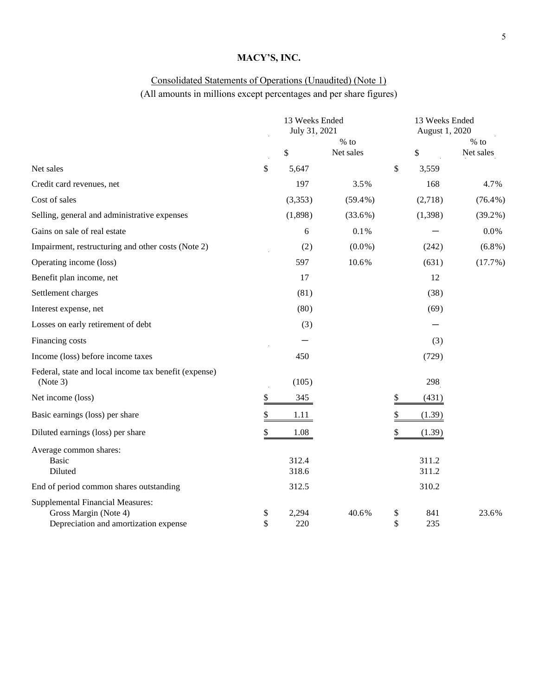# Consolidated Statements of Operations (Unaudited) (Note 1)

# (All amounts in millions except percentages and per share figures)

|                                                                                                           |          | 13 Weeks Ended<br>July 31, 2021 |            |          | 13 Weeks Ended<br>August 1, 2020 |            |  |  |
|-----------------------------------------------------------------------------------------------------------|----------|---------------------------------|------------|----------|----------------------------------|------------|--|--|
|                                                                                                           |          |                                 | $%$ to     |          |                                  | $%$ to     |  |  |
|                                                                                                           |          | \$                              | Net sales  |          | \$                               | Net sales  |  |  |
| Net sales                                                                                                 | \$       | 5,647                           |            | \$       | 3,559                            |            |  |  |
| Credit card revenues, net                                                                                 |          | 197                             | 3.5%       |          | 168                              | 4.7%       |  |  |
| Cost of sales                                                                                             |          | (3,353)                         | $(59.4\%)$ |          | (2,718)                          | $(76.4\%)$ |  |  |
| Selling, general and administrative expenses                                                              |          | (1,898)                         | $(33.6\%)$ |          | (1,398)                          | $(39.2\%)$ |  |  |
| Gains on sale of real estate                                                                              |          | 6                               | 0.1%       |          |                                  | 0.0%       |  |  |
| Impairment, restructuring and other costs (Note 2)                                                        |          | (2)                             | $(0.0\%)$  |          | (242)                            | $(6.8\%)$  |  |  |
| Operating income (loss)                                                                                   |          | 597                             | 10.6%      |          | (631)                            | (17.7%)    |  |  |
| Benefit plan income, net                                                                                  |          | 17                              |            |          | 12                               |            |  |  |
| Settlement charges                                                                                        |          | (81)                            |            |          | (38)                             |            |  |  |
| Interest expense, net                                                                                     |          | (80)                            |            |          | (69)                             |            |  |  |
| Losses on early retirement of debt                                                                        |          | (3)                             |            |          |                                  |            |  |  |
| Financing costs                                                                                           |          |                                 |            |          | (3)                              |            |  |  |
| Income (loss) before income taxes                                                                         |          | 450                             |            |          | (729)                            |            |  |  |
| Federal, state and local income tax benefit (expense)<br>(Note 3)                                         |          | (105)                           |            |          | 298                              |            |  |  |
| Net income (loss)                                                                                         | \$       | 345                             |            | \$       | (431)                            |            |  |  |
| Basic earnings (loss) per share                                                                           | \$       | 1.11                            |            | \$       | (1.39)                           |            |  |  |
| Diluted earnings (loss) per share                                                                         | \$       | 1.08                            |            | \$       | (1.39)                           |            |  |  |
| Average common shares:<br><b>Basic</b>                                                                    |          | 312.4                           |            |          | 311.2                            |            |  |  |
| Diluted                                                                                                   |          | 318.6                           |            |          | 311.2                            |            |  |  |
| End of period common shares outstanding                                                                   |          | 312.5                           |            |          | 310.2                            |            |  |  |
| <b>Supplemental Financial Measures:</b><br>Gross Margin (Note 4)<br>Depreciation and amortization expense | \$<br>\$ | 2,294<br>220                    | 40.6%      | \$<br>\$ | 841<br>235                       | 23.6%      |  |  |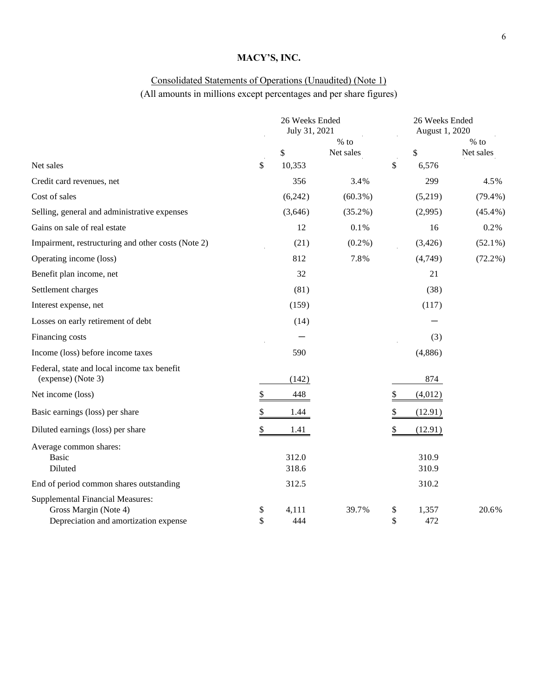# Consolidated Statements of Operations (Unaudited) (Note 1)

# (All amounts in millions except percentages and per share figures)

|                                                                                                           |               | 26 Weeks Ended<br>July 31, 2021 |            |          | 26 Weeks Ended<br>August 1, 2020 |            |  |  |  |
|-----------------------------------------------------------------------------------------------------------|---------------|---------------------------------|------------|----------|----------------------------------|------------|--|--|--|
|                                                                                                           |               |                                 |            |          |                                  | $%$ to     |  |  |  |
|                                                                                                           |               | \$                              | Net sales  |          | \$                               | Net sales  |  |  |  |
| Net sales                                                                                                 | \$            | 10,353                          |            | \$       | 6,576                            |            |  |  |  |
| Credit card revenues, net                                                                                 |               | 356                             | 3.4%       |          | 299                              | 4.5%       |  |  |  |
| Cost of sales                                                                                             |               | (6,242)                         | $(60.3\%)$ |          | (5,219)                          | $(79.4\%)$ |  |  |  |
| Selling, general and administrative expenses                                                              |               | (3,646)                         | $(35.2\%)$ |          | (2,995)                          | $(45.4\%)$ |  |  |  |
| Gains on sale of real estate                                                                              |               | 12                              | 0.1%       |          | 16                               | 0.2%       |  |  |  |
| Impairment, restructuring and other costs (Note 2)                                                        |               | (21)                            | $(0.2\%)$  |          | (3, 426)                         | $(52.1\%)$ |  |  |  |
| Operating income (loss)                                                                                   |               | 812                             | 7.8%       |          | (4,749)                          | $(72.2\%)$ |  |  |  |
| Benefit plan income, net                                                                                  |               | 32                              |            |          | 21                               |            |  |  |  |
| Settlement charges                                                                                        |               | (81)                            |            |          | (38)                             |            |  |  |  |
| Interest expense, net                                                                                     |               | (159)                           |            |          | (117)                            |            |  |  |  |
| Losses on early retirement of debt                                                                        |               | (14)                            |            |          |                                  |            |  |  |  |
| Financing costs                                                                                           |               |                                 |            |          | (3)                              |            |  |  |  |
| Income (loss) before income taxes                                                                         |               | 590                             |            |          | (4,886)                          |            |  |  |  |
| Federal, state and local income tax benefit<br>(expense) (Note 3)                                         |               | (142)                           |            |          | 874                              |            |  |  |  |
| Net income (loss)                                                                                         | $\frac{1}{2}$ | 448                             |            | \$       | (4,012)                          |            |  |  |  |
| Basic earnings (loss) per share                                                                           | \$            | 1.44                            |            | \$       | (12.91)                          |            |  |  |  |
| Diluted earnings (loss) per share                                                                         | \$            | 1.41                            |            | \$       | (12.91)                          |            |  |  |  |
| Average common shares:<br><b>Basic</b><br>Diluted                                                         |               | 312.0<br>318.6                  |            |          | 310.9<br>310.9                   |            |  |  |  |
| End of period common shares outstanding                                                                   |               | 312.5                           |            |          | 310.2                            |            |  |  |  |
| <b>Supplemental Financial Measures:</b><br>Gross Margin (Note 4)<br>Depreciation and amortization expense | \$<br>\$      | 4,111<br>444                    | 39.7%      | \$<br>\$ | 1,357<br>472                     | 20.6%      |  |  |  |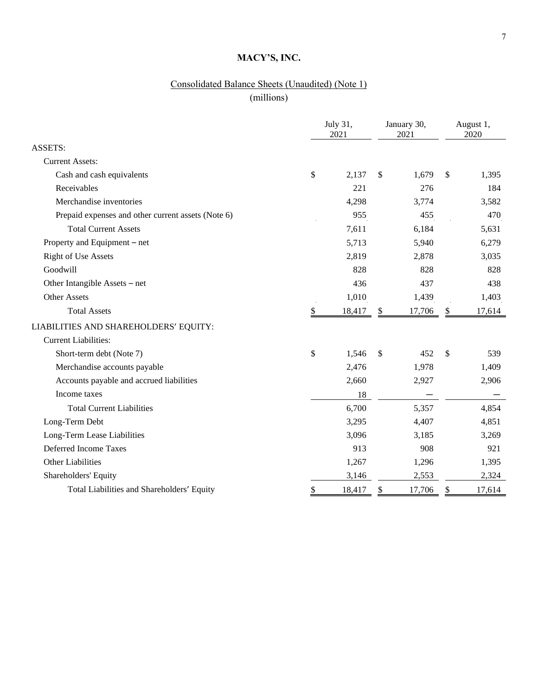# Consolidated Balance Sheets (Unaudited) (Note 1)

(millions)

|                                                    | July 31,<br>2021 |        | January 30,<br>2021 | August 1,<br>2020 |  |
|----------------------------------------------------|------------------|--------|---------------------|-------------------|--|
| <b>ASSETS:</b>                                     |                  |        |                     |                   |  |
| <b>Current Assets:</b>                             |                  |        |                     |                   |  |
| Cash and cash equivalents                          | \$               | 2,137  | \$<br>1,679         | \$<br>1,395       |  |
| Receivables                                        |                  | 221    | 276                 | 184               |  |
| Merchandise inventories                            |                  | 4,298  | 3,774               | 3,582             |  |
| Prepaid expenses and other current assets (Note 6) |                  | 955    | 455                 | 470               |  |
| <b>Total Current Assets</b>                        |                  | 7,611  | 6,184               | 5,631             |  |
| Property and Equipment – net                       |                  | 5,713  | 5,940               | 6,279             |  |
| <b>Right of Use Assets</b>                         |                  | 2,819  | 2,878               | 3,035             |  |
| Goodwill                                           |                  | 828    | 828                 | 828               |  |
| Other Intangible Assets - net                      |                  | 436    | 437                 | 438               |  |
| <b>Other Assets</b>                                |                  | 1,010  | 1,439               | 1,403             |  |
| <b>Total Assets</b>                                | \$               | 18,417 | \$<br>17,706        | \$<br>17,614      |  |
| LIABILITIES AND SHAREHOLDERS' EQUITY:              |                  |        |                     |                   |  |
| <b>Current Liabilities:</b>                        |                  |        |                     |                   |  |
| Short-term debt (Note 7)                           | \$               | 1,546  | \$<br>452           | \$<br>539         |  |
| Merchandise accounts payable                       |                  | 2,476  | 1,978               | 1,409             |  |
| Accounts payable and accrued liabilities           |                  | 2,660  | 2,927               | 2,906             |  |
| Income taxes                                       |                  | 18     |                     |                   |  |
| <b>Total Current Liabilities</b>                   |                  | 6,700  | 5,357               | 4,854             |  |
| Long-Term Debt                                     |                  | 3,295  | 4,407               | 4,851             |  |
| Long-Term Lease Liabilities                        |                  | 3,096  | 3,185               | 3,269             |  |
| Deferred Income Taxes                              |                  | 913    | 908                 | 921               |  |
| Other Liabilities                                  |                  | 1,267  | 1,296               | 1,395             |  |
| Shareholders' Equity                               |                  | 3,146  | 2,553               | 2,324             |  |
| Total Liabilities and Shareholders' Equity         | \$               | 18,417 | \$<br>17,706        | \$<br>17,614      |  |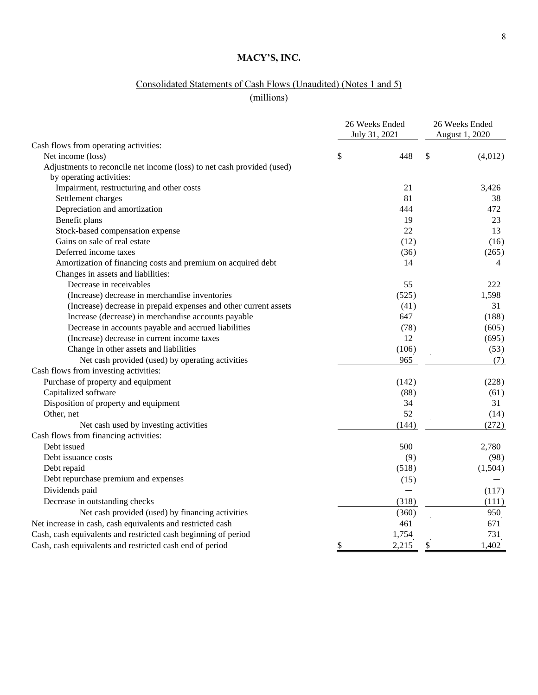# Consolidated Statements of Cash Flows (Unaudited) (Notes 1 and 5)

(millions)

|                                                                        | 26 Weeks Ended<br>July 31, 2021 | 26 Weeks Ended<br>August 1, 2020 |                |  |
|------------------------------------------------------------------------|---------------------------------|----------------------------------|----------------|--|
| Cash flows from operating activities:                                  |                                 |                                  |                |  |
| Net income (loss)                                                      | \$<br>448                       | \$                               | (4,012)        |  |
| Adjustments to reconcile net income (loss) to net cash provided (used) |                                 |                                  |                |  |
| by operating activities:                                               |                                 |                                  |                |  |
| Impairment, restructuring and other costs                              | 21                              |                                  | 3,426          |  |
| Settlement charges                                                     | 81                              |                                  | 38             |  |
| Depreciation and amortization                                          | 444                             |                                  | 472            |  |
| Benefit plans                                                          | 19                              |                                  | 23             |  |
| Stock-based compensation expense                                       | 22                              |                                  | 13             |  |
| Gains on sale of real estate                                           | (12)                            |                                  | (16)           |  |
| Deferred income taxes                                                  | (36)                            |                                  | (265)          |  |
| Amortization of financing costs and premium on acquired debt           | 14                              |                                  | $\overline{4}$ |  |
| Changes in assets and liabilities:                                     |                                 |                                  |                |  |
| Decrease in receivables                                                | 55                              |                                  | 222            |  |
| (Increase) decrease in merchandise inventories                         | (525)                           |                                  | 1,598          |  |
| (Increase) decrease in prepaid expenses and other current assets       | (41)                            |                                  | 31             |  |
| Increase (decrease) in merchandise accounts payable                    | 647                             |                                  | (188)          |  |
| Decrease in accounts payable and accrued liabilities                   | (78)                            |                                  | (605)          |  |
| (Increase) decrease in current income taxes                            | 12                              |                                  | (695)          |  |
| Change in other assets and liabilities                                 | (106)                           |                                  | (53)           |  |
| Net cash provided (used) by operating activities                       | 965                             |                                  | (7)            |  |
| Cash flows from investing activities:                                  |                                 |                                  |                |  |
| Purchase of property and equipment                                     | (142)                           |                                  | (228)          |  |
| Capitalized software                                                   | (88)                            |                                  | (61)           |  |
| Disposition of property and equipment                                  | 34                              |                                  | 31             |  |
| Other, net                                                             | 52                              |                                  | (14)           |  |
| Net cash used by investing activities                                  | (144)                           |                                  | (272)          |  |
| Cash flows from financing activities:                                  |                                 |                                  |                |  |
| Debt issued                                                            | 500                             |                                  | 2,780          |  |
| Debt issuance costs                                                    | (9)                             |                                  | (98)           |  |
| Debt repaid                                                            | (518)                           |                                  | (1,504)        |  |
| Debt repurchase premium and expenses                                   | (15)                            |                                  |                |  |
| Dividends paid                                                         |                                 |                                  | (117)          |  |
| Decrease in outstanding checks                                         | (318)                           |                                  | (111)          |  |
| Net cash provided (used) by financing activities                       | (360)                           |                                  | 950            |  |
| Net increase in cash, cash equivalents and restricted cash             | 461                             |                                  | 671            |  |
| Cash, cash equivalents and restricted cash beginning of period         | 1,754                           |                                  | 731            |  |
| Cash, cash equivalents and restricted cash end of period               | \$<br>2,215                     | \$                               | 1,402          |  |
|                                                                        |                                 |                                  |                |  |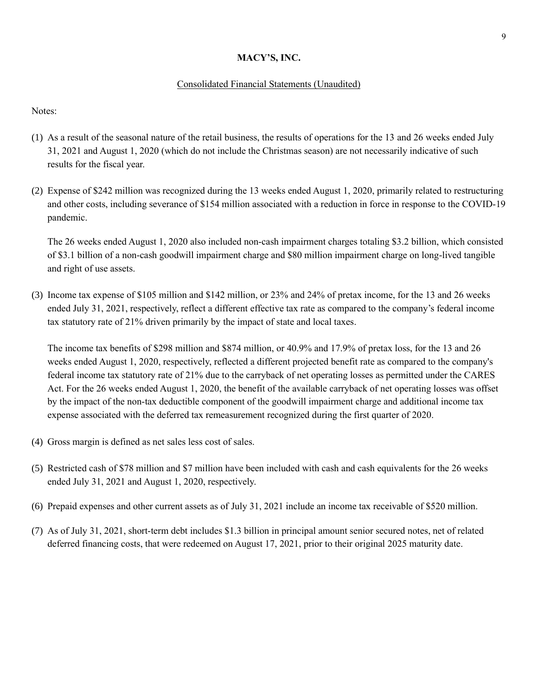#### Consolidated Financial Statements (Unaudited)

Notes:

- (1) As a result of the seasonal nature of the retail business, the results of operations for the 13 and 26 weeks ended July 31, 2021 and August 1, 2020 (which do not include the Christmas season) are not necessarily indicative of such results for the fiscal year.
- (2) Expense of \$242 million was recognized during the 13 weeks ended August 1, 2020, primarily related to restructuring and other costs, including severance of \$154 million associated with a reduction in force in response to the COVID-19 pandemic.

The 26 weeks ended August 1, 2020 also included non-cash impairment charges totaling \$3.2 billion, which consisted of \$3.1 billion of a non-cash goodwill impairment charge and \$80 million impairment charge on long-lived tangible and right of use assets.

(3) Income tax expense of \$105 million and \$142 million, or 23% and 24% of pretax income, for the 13 and 26 weeks ended July 31, 2021, respectively, reflect a different effective tax rate as compared to the company's federal income tax statutory rate of 21% driven primarily by the impact of state and local taxes.

The income tax benefits of \$298 million and \$874 million, or 40.9% and 17.9% of pretax loss, for the 13 and 26 weeks ended August 1, 2020, respectively, reflected a different projected benefit rate as compared to the company's federal income tax statutory rate of 21% due to the carryback of net operating losses as permitted under the CARES Act. For the 26 weeks ended August 1, 2020, the benefit of the available carryback of net operating losses was offset by the impact of the non-tax deductible component of the goodwill impairment charge and additional income tax expense associated with the deferred tax remeasurement recognized during the first quarter of 2020.

- (4) Gross margin is defined as net sales less cost of sales.
- (5) Restricted cash of \$78 million and \$7 million have been included with cash and cash equivalents for the 26 weeks ended July 31, 2021 and August 1, 2020, respectively.
- (6) Prepaid expenses and other current assets as of July 31, 2021 include an income tax receivable of \$520 million.
- (7) As of July 31, 2021, short-term debt includes \$1.3 billion in principal amount senior secured notes, net of related deferred financing costs, that were redeemed on August 17, 2021, prior to their original 2025 maturity date.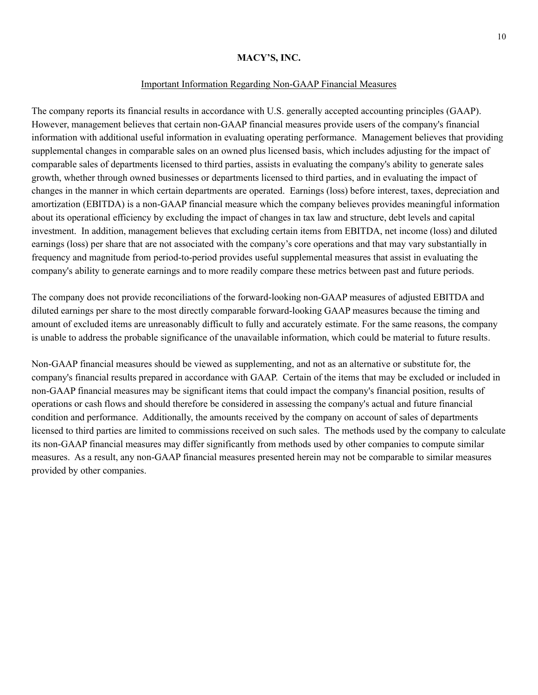#### Important Information Regarding Non-GAAP Financial Measures

The company reports its financial results in accordance with U.S. generally accepted accounting principles (GAAP). However, management believes that certain non-GAAP financial measures provide users of the company's financial information with additional useful information in evaluating operating performance. Management believes that providing supplemental changes in comparable sales on an owned plus licensed basis, which includes adjusting for the impact of comparable sales of departments licensed to third parties, assists in evaluating the company's ability to generate sales growth, whether through owned businesses or departments licensed to third parties, and in evaluating the impact of changes in the manner in which certain departments are operated. Earnings (loss) before interest, taxes, depreciation and amortization (EBITDA) is a non-GAAP financial measure which the company believes provides meaningful information about its operational efficiency by excluding the impact of changes in tax law and structure, debt levels and capital investment. In addition, management believes that excluding certain items from EBITDA, net income (loss) and diluted earnings (loss) per share that are not associated with the company's core operations and that may vary substantially in frequency and magnitude from period-to-period provides useful supplemental measures that assist in evaluating the company's ability to generate earnings and to more readily compare these metrics between past and future periods.

The company does not provide reconciliations of the forward-looking non-GAAP measures of adjusted EBITDA and diluted earnings per share to the most directly comparable forward-looking GAAP measures because the timing and amount of excluded items are unreasonably difficult to fully and accurately estimate. For the same reasons, the company is unable to address the probable significance of the unavailable information, which could be material to future results.

Non-GAAP financial measures should be viewed as supplementing, and not as an alternative or substitute for, the company's financial results prepared in accordance with GAAP. Certain of the items that may be excluded or included in non-GAAP financial measures may be significant items that could impact the company's financial position, results of operations or cash flows and should therefore be considered in assessing the company's actual and future financial condition and performance. Additionally, the amounts received by the company on account of sales of departments licensed to third parties are limited to commissions received on such sales. The methods used by the company to calculate its non-GAAP financial measures may differ significantly from methods used by other companies to compute similar measures. As a result, any non-GAAP financial measures presented herein may not be comparable to similar measures provided by other companies.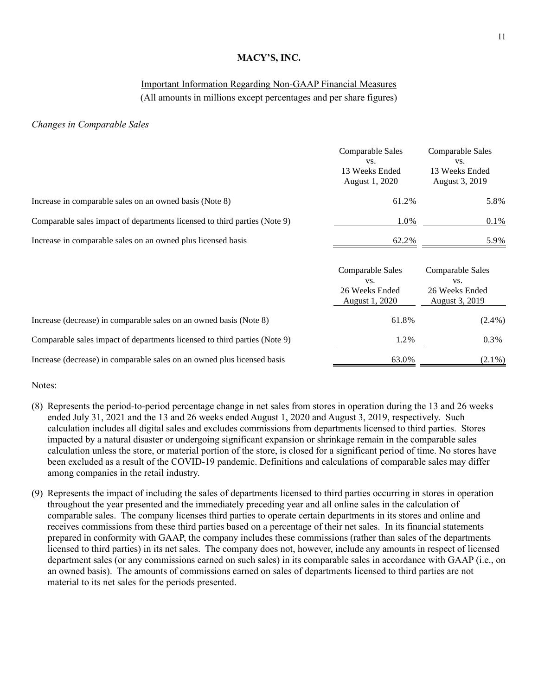# Important Information Regarding Non-GAAP Financial Measures

(All amounts in millions except percentages and per share figures)

#### *Changes in Comparable Sales*

|                                                                           | Comparable Sales<br>VS.<br>13 Weeks Ended<br>August 1, 2020 | Comparable Sales<br>VS.<br>13 Weeks Ended<br>August 3, 2019 |
|---------------------------------------------------------------------------|-------------------------------------------------------------|-------------------------------------------------------------|
| Increase in comparable sales on an owned basis (Note 8)                   | 61.2%                                                       | 5.8%                                                        |
| Comparable sales impact of departments licensed to third parties (Note 9) | 1.0%                                                        | 0.1%                                                        |
| Increase in comparable sales on an owned plus licensed basis              | 62.2%                                                       | 5.9%                                                        |
|                                                                           | Comparable Sales<br>VS.<br>26 Weeks Ended<br>August 1, 2020 | Comparable Sales<br>VS.<br>26 Weeks Ended<br>August 3, 2019 |
| Increase (decrease) in comparable sales on an owned basis (Note 8)        | 61.8%                                                       | $(2.4\%)$                                                   |
| Comparable sales impact of departments licensed to third parties (Note 9) | 1.2%                                                        | 0.3%                                                        |
| Increase (decrease) in comparable sales on an owned plus licensed basis   | 63.0%                                                       | $(2.1\%)$                                                   |

Notes:

- (8) Represents the period-to-period percentage change in net sales from stores in operation during the 13 and 26 weeks ended July 31, 2021 and the 13 and 26 weeks ended August 1, 2020 and August 3, 2019, respectively. Such calculation includes all digital sales and excludes commissions from departments licensed to third parties. Stores impacted by a natural disaster or undergoing significant expansion or shrinkage remain in the comparable sales calculation unless the store, or material portion of the store, is closed for a significant period of time. No stores have been excluded as a result of the COVID-19 pandemic. Definitions and calculations of comparable sales may differ among companies in the retail industry.
- (9) Represents the impact of including the sales of departments licensed to third parties occurring in stores in operation throughout the year presented and the immediately preceding year and all online sales in the calculation of comparable sales. The company licenses third parties to operate certain departments in its stores and online and receives commissions from these third parties based on a percentage of their net sales. In its financial statements prepared in conformity with GAAP, the company includes these commissions (rather than sales of the departments licensed to third parties) in its net sales. The company does not, however, include any amounts in respect of licensed department sales (or any commissions earned on such sales) in its comparable sales in accordance with GAAP (i.e., on an owned basis). The amounts of commissions earned on sales of departments licensed to third parties are not material to its net sales for the periods presented.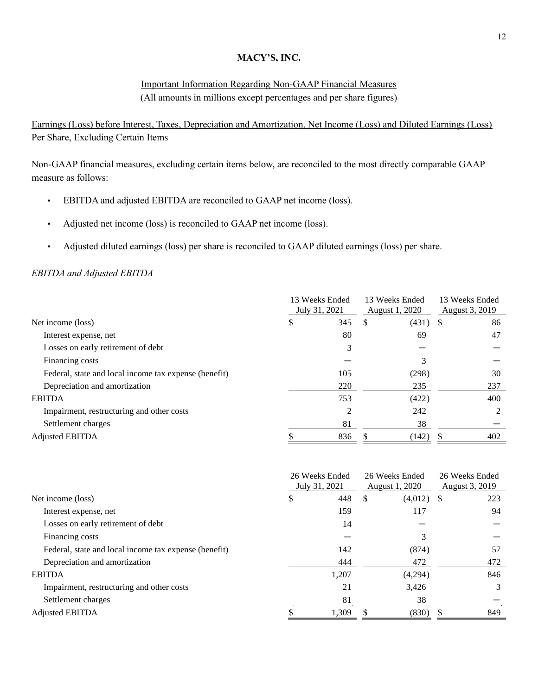## Important Information Regarding Non-GAAP Financial Measures (All amounts in millions except percentages and per share figures)

Earnings (Loss) before Interest, Taxes, Depreciation and Amortization, Net Income (Loss) and Diluted Earnings (Loss) Per Share, Excluding Certain Items

Non-GAAP financial measures, excluding certain items below, are reconciled to the most directly comparable GAAP measure as follows:

- EBITDA and adjusted EBITDA are reconciled to GAAP net income (loss).
- Adjusted net income (loss) is reconciled to GAAP net income (loss).
- Adjusted diluted earnings (loss) per share is reconciled to GAAP diluted earnings (loss) per share.

#### *EBITDA and Adjusted EBITDA*

|                                                       | 13 Weeks Ended<br>July 31, 2021 |     | 13 Weeks Ended<br>August 1, 2020 | 13 Weeks Ended<br>August 3, 2019 |  |     |
|-------------------------------------------------------|---------------------------------|-----|----------------------------------|----------------------------------|--|-----|
| Net income (loss)                                     | S                               | 345 | $(431)$ \$<br>-S                 |                                  |  | 86  |
| Interest expense, net                                 |                                 | 80  |                                  | 69                               |  | 47  |
| Losses on early retirement of debt                    |                                 | 3   |                                  |                                  |  |     |
| Financing costs                                       |                                 |     |                                  |                                  |  |     |
| Federal, state and local income tax expense (benefit) |                                 | 105 |                                  | (298)                            |  | 30  |
| Depreciation and amortization                         |                                 | 220 |                                  | 235                              |  | 237 |
| <b>EBITDA</b>                                         |                                 | 753 |                                  | (422)                            |  | 400 |
| Impairment, restructuring and other costs             |                                 | 2   |                                  | 242                              |  |     |
| Settlement charges                                    |                                 | 81  |                                  | 38                               |  |     |
| <b>Adjusted EBITDA</b>                                |                                 | 836 |                                  | (142)                            |  | 402 |

|                                                       | 26 Weeks Ended<br>July 31, 2021 |       |               | 26 Weeks Ended<br>August 1, 2020 | 26 Weeks Ended<br>August 3, 2019 |     |  |
|-------------------------------------------------------|---------------------------------|-------|---------------|----------------------------------|----------------------------------|-----|--|
| Net income (loss)                                     | S                               | 448   | (4,012)<br>-S |                                  | - S                              | 223 |  |
| Interest expense, net                                 |                                 | 159   |               | 117                              |                                  | 94  |  |
| Losses on early retirement of debt                    |                                 | 14    |               |                                  |                                  |     |  |
| Financing costs                                       |                                 |       |               | 3                                |                                  |     |  |
| Federal, state and local income tax expense (benefit) |                                 | 142   |               | (874)                            |                                  | 57  |  |
| Depreciation and amortization                         |                                 | 444   |               | 472                              |                                  | 472 |  |
| <b>EBITDA</b>                                         |                                 | 1,207 |               | (4,294)                          |                                  | 846 |  |
| Impairment, restructuring and other costs             |                                 | 21    |               | 3,426                            |                                  | 3   |  |
| Settlement charges                                    |                                 | 81    |               | 38                               |                                  |     |  |
| <b>Adjusted EBITDA</b>                                |                                 | 1,309 |               | (830)                            |                                  | 849 |  |